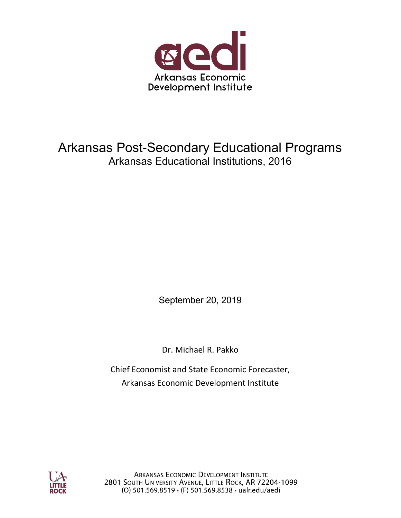

## Arkansas Post-Secondary Educational Programs Arkansas Educational Institutions, 2016

September 20, 2019

Dr. Michael R. Pakko

Chief Economist and State Economic Forecaster, Arkansas Economic Development Institute



**ARKANSAS ECONOMIC DEVELOPMENT INSTITUTE** 2801 SOUTH UNIVERSITY AVENUE, LITTLE ROCK, AR 72204-1099 (O) 501.569.8519 · (F) 501.569.8538 · ualr.edu/aedi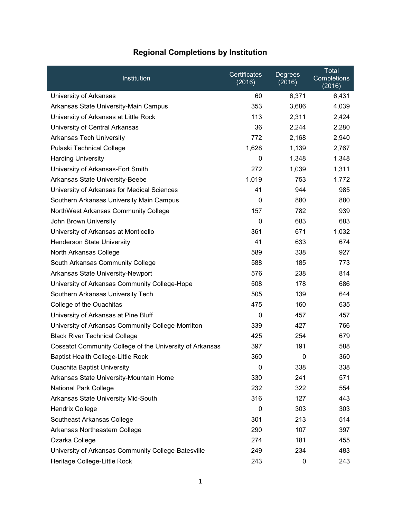| Institution                                              | Certificates<br>(2016) | Degrees<br>(2016) | Total<br>Completions<br>(2016) |
|----------------------------------------------------------|------------------------|-------------------|--------------------------------|
| University of Arkansas                                   | 60                     | 6,371             | 6,431                          |
| Arkansas State University-Main Campus                    | 353                    | 3,686             | 4,039                          |
| University of Arkansas at Little Rock                    | 113                    | 2,311             | 2,424                          |
| University of Central Arkansas                           | 36                     | 2,244             | 2,280                          |
| Arkansas Tech University                                 | 772                    | 2,168             | 2,940                          |
| Pulaski Technical College                                | 1,628                  | 1,139             | 2,767                          |
| <b>Harding University</b>                                | 0                      | 1,348             | 1,348                          |
| University of Arkansas-Fort Smith                        | 272                    | 1,039             | 1,311                          |
| Arkansas State University-Beebe                          | 1,019                  | 753               | 1,772                          |
| University of Arkansas for Medical Sciences              | 41                     | 944               | 985                            |
| Southern Arkansas University Main Campus                 | 0                      | 880               | 880                            |
| NorthWest Arkansas Community College                     | 157                    | 782               | 939                            |
| John Brown University                                    | 0                      | 683               | 683                            |
| University of Arkansas at Monticello                     | 361                    | 671               | 1,032                          |
| Henderson State University                               | 41                     | 633               | 674                            |
| North Arkansas College                                   | 589                    | 338               | 927                            |
| South Arkansas Community College                         | 588                    | 185               | 773                            |
| Arkansas State University-Newport                        | 576                    | 238               | 814                            |
| University of Arkansas Community College-Hope            | 508                    | 178               | 686                            |
| Southern Arkansas University Tech                        | 505                    | 139               | 644                            |
| College of the Ouachitas                                 | 475                    | 160               | 635                            |
| University of Arkansas at Pine Bluff                     | 0                      | 457               | 457                            |
| University of Arkansas Community College-Morrilton       | 339                    | 427               | 766                            |
| <b>Black River Technical College</b>                     | 425                    | 254               | 679                            |
| Cossatot Community College of the University of Arkansas | 397                    | 191               | 588                            |
| Baptist Health College-Little Rock                       | 360                    | $\Omega$          | 360                            |
| <b>Ouachita Baptist University</b>                       | 0                      | 338               | 338                            |
| Arkansas State University-Mountain Home                  | 330                    | 241               | 571                            |
| National Park College                                    | 232                    | 322               | 554                            |
| Arkansas State University Mid-South                      | 316                    | 127               | 443                            |
| <b>Hendrix College</b>                                   | $\mathbf 0$            | 303               | 303                            |
| Southeast Arkansas College                               | 301                    | 213               | 514                            |
| Arkansas Northeastern College                            | 290                    | 107               | 397                            |
| Ozarka College                                           | 274                    | 181               | 455                            |
| University of Arkansas Community College-Batesville      | 249                    | 234               | 483                            |
| Heritage College-Little Rock                             | 243                    | 0                 | 243                            |

## Regional Completions by Institution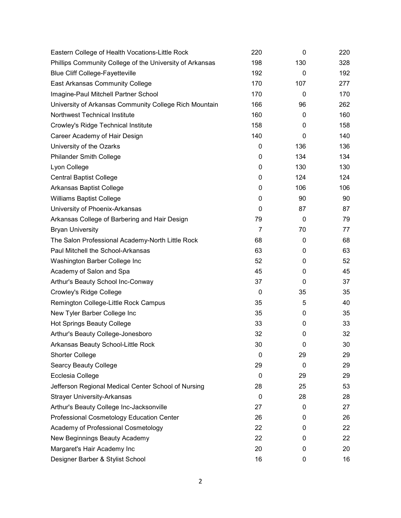| Eastern College of Health Vocations-Little Rock          | 220            | 0   | 220 |
|----------------------------------------------------------|----------------|-----|-----|
| Phillips Community College of the University of Arkansas | 198            | 130 | 328 |
| <b>Blue Cliff College-Fayetteville</b>                   | 192            | 0   | 192 |
| <b>East Arkansas Community College</b>                   | 170            | 107 | 277 |
| Imagine-Paul Mitchell Partner School                     | 170            | 0   | 170 |
| University of Arkansas Community College Rich Mountain   | 166            | 96  | 262 |
| Northwest Technical Institute                            | 160            | 0   | 160 |
| Crowley's Ridge Technical Institute                      | 158            | 0   | 158 |
| Career Academy of Hair Design                            | 140            | 0   | 140 |
| University of the Ozarks                                 | 0              | 136 | 136 |
| <b>Philander Smith College</b>                           | 0              | 134 | 134 |
| Lyon College                                             | $\mathbf 0$    | 130 | 130 |
| <b>Central Baptist College</b>                           | 0              | 124 | 124 |
| Arkansas Baptist College                                 | 0              | 106 | 106 |
| <b>Williams Baptist College</b>                          | 0              | 90  | 90  |
| University of Phoenix-Arkansas                           | 0              | 87  | 87  |
| Arkansas College of Barbering and Hair Design            | 79             | 0   | 79  |
| <b>Bryan University</b>                                  | $\overline{7}$ | 70  | 77  |
| The Salon Professional Academy-North Little Rock         | 68             | 0   | 68  |
| Paul Mitchell the School-Arkansas                        | 63             | 0   | 63  |
| Washington Barber College Inc                            | 52             | 0   | 52  |
| Academy of Salon and Spa                                 | 45             | 0   | 45  |
| Arthur's Beauty School Inc-Conway                        | 37             | 0   | 37  |
| Crowley's Ridge College                                  | 0              | 35  | 35  |
| Remington College-Little Rock Campus                     | 35             | 5   | 40  |
| New Tyler Barber College Inc                             | 35             | 0   | 35  |
| <b>Hot Springs Beauty College</b>                        | 33             | 0   | 33  |
| Arthur's Beauty College-Jonesboro                        | 32             | 0   | 32  |
| Arkansas Beauty School-Little Rock                       | 30             | 0   | 30  |
| <b>Shorter College</b>                                   | 0              | 29  | 29  |
| <b>Searcy Beauty College</b>                             | 29             | 0   | 29  |
| Ecclesia College                                         | 0              | 29  | 29  |
| Jefferson Regional Medical Center School of Nursing      | 28             | 25  | 53  |
| <b>Strayer University-Arkansas</b>                       | 0              | 28  | 28  |
| Arthur's Beauty College Inc-Jacksonville                 | 27             | 0   | 27  |
| Professional Cosmetology Education Center                | 26             | 0   | 26  |
| Academy of Professional Cosmetology                      | 22             | 0   | 22  |
| New Beginnings Beauty Academy                            | 22             | 0   | 22  |
| Margaret's Hair Academy Inc                              | 20             | 0   | 20  |
| Designer Barber & Stylist School                         | 16             | 0   | 16  |